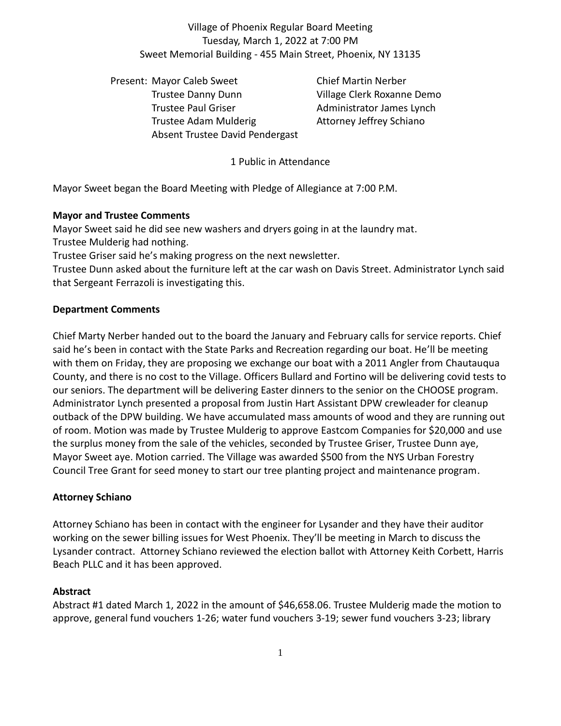# Village of Phoenix Regular Board Meeting Tuesday, March 1, 2022 at 7:00 PM Sweet Memorial Building - 455 Main Street, Phoenix, NY 13135

Present: Mayor Caleb Sweet Chief Martin Nerber Trustee Danny Dunn Village Clerk Roxanne Demo Trustee Paul Griser **Administrator James Lynch** Trustee Adam Mulderig **Attorney Jeffrey Schiano** Absent Trustee David Pendergast

1 Public in Attendance

Mayor Sweet began the Board Meeting with Pledge of Allegiance at 7:00 P.M.

# **Mayor and Trustee Comments**

Mayor Sweet said he did see new washers and dryers going in at the laundry mat.

Trustee Mulderig had nothing.

Trustee Griser said he's making progress on the next newsletter.

Trustee Dunn asked about the furniture left at the car wash on Davis Street. Administrator Lynch said that Sergeant Ferrazoli is investigating this.

# **Department Comments**

Chief Marty Nerber handed out to the board the January and February calls for service reports. Chief said he's been in contact with the State Parks and Recreation regarding our boat. He'll be meeting with them on Friday, they are proposing we exchange our boat with a 2011 Angler from Chautauqua County, and there is no cost to the Village. Officers Bullard and Fortino will be delivering covid tests to our seniors. The department will be delivering Easter dinners to the senior on the CHOOSE program. Administrator Lynch presented a proposal from Justin Hart Assistant DPW crewleader for cleanup outback of the DPW building. We have accumulated mass amounts of wood and they are running out of room. Motion was made by Trustee Mulderig to approve Eastcom Companies for \$20,000 and use the surplus money from the sale of the vehicles, seconded by Trustee Griser, Trustee Dunn aye, Mayor Sweet aye. Motion carried. The Village was awarded \$500 from the NYS Urban Forestry Council Tree Grant for seed money to start our tree planting project and maintenance program.

### **Attorney Schiano**

Attorney Schiano has been in contact with the engineer for Lysander and they have their auditor working on the sewer billing issues for West Phoenix. They'll be meeting in March to discuss the Lysander contract. Attorney Schiano reviewed the election ballot with Attorney Keith Corbett, Harris Beach PLLC and it has been approved.

### **Abstract**

Abstract #1 dated March 1, 2022 in the amount of \$46,658.06. Trustee Mulderig made the motion to approve, general fund vouchers 1-26; water fund vouchers 3-19; sewer fund vouchers 3-23; library